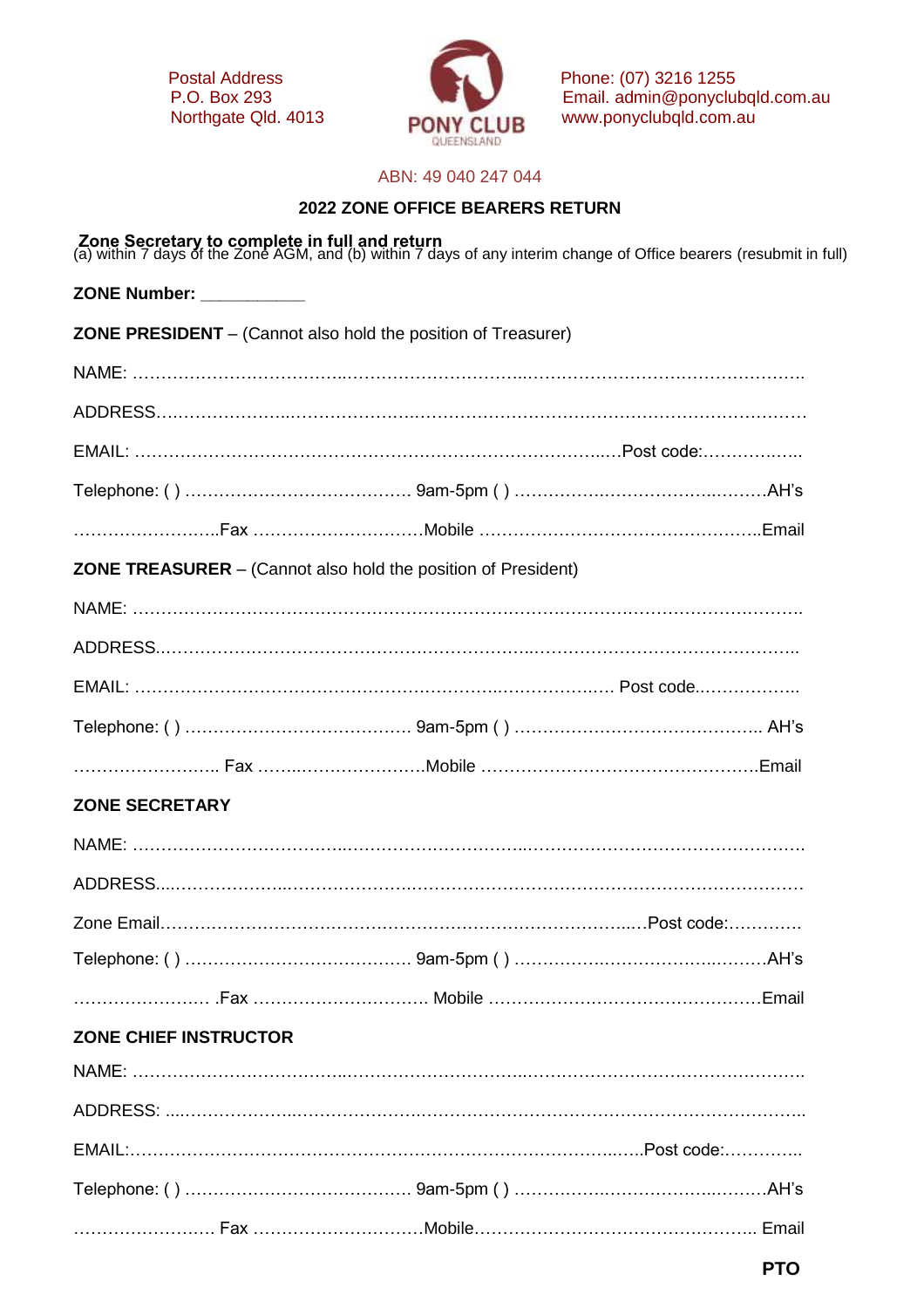

Postal Address P.O. Box 293 Phone: (07) 3216 1255 Email. admin@ponyclubqld.com.au Northgate Qld. 4013 www.ponyclubqld.com.au

## ABN: 49 040 247 044

## **2022 ZONE OFFICE BEARERS RETURN**

**Zone Secretary to complete in full and return**<br>(a) within 7 days of the Zone AGM, and (b) within 7 days of any interim change of Office bearers (resubmit in full) **ZONE Number: \_\_\_\_\_\_\_\_\_\_\_ ZONE PRESIDENT** – (Cannot also hold the position of Treasurer) NAME: ………………………………..…………………………..…………………………………………. ADDRESS….………………..………………….…………………………………………………………… EMAIL: ………………………………………………………………………..…Post code:………….….. Telephone: ( ) …………………………………. 9am-5pm ( ) …………….………………..………AH's ……………………..Fax …………………………Mobile …………………………………………..Email **ZONE TREASURER** – (Cannot also hold the position of President) NAME: ………………………………………………………………………………………………………. ADDRESS..………………………………………………………..……………………………………….. EMAIL: ………………………………………………………..…………….…. Post code..…………….. Telephone: ( ) …………………………………. 9am-5pm ( ) …………………………………….. AH's …………………….. Fax ……..………………….Mobile ………………………………………….Email **ZONE SECRETARY**  NAME: ………………………………..…………………………..…………………………………………. ADDRESS....………………..………………….…………………………………………………………… Zone Email………………………………………………………………………..…Post code:…………. Telephone: ( ) …………………………………. 9am-5pm ( ) …………….………………..………AH's …………………… .Fax …………………………. Mobile …………………………………………Email **ZONE CHIEF INSTRUCTOR**  NAME: ………………………………..…………………………..…………………………………………. ADDRESS: ....………………..………………….………………………………………………………….. EMAIL:…………………………………………………………………………..…..Post code:………….. Telephone: ( ) …………………………………. 9am-5pm ( ) …………….………………..………AH's ……………………. Fax …………………………Mobile………………………………………….. Email